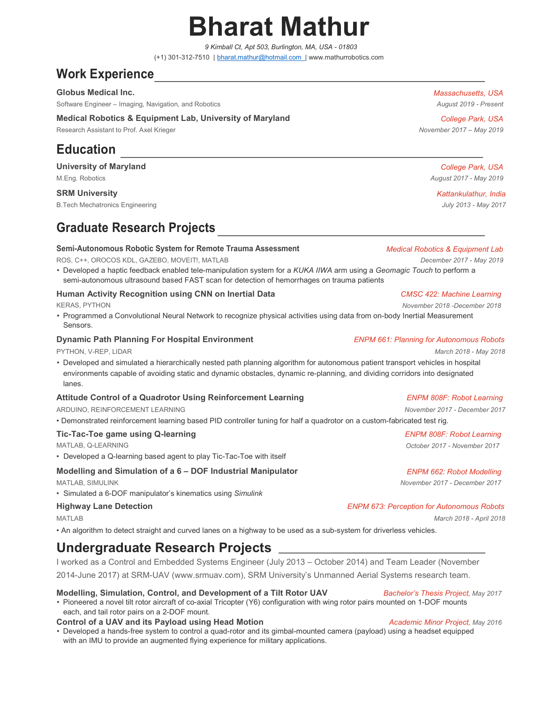# Bharat Mathur

9 Kimball Ct, Apt 503, Burlington, MA, USA - 01803 (+1) 301-312-7510 | bharat.mathur@hotmail.com | www.mathurrobotics.com

# Work Experience

Globus Medical Inc. **Massachusetts, USA** and Controllering the Massachusetts, USA and Controllering the Massachusetts, USA

Software Engineer – Imaging, Navigation, and Robotics August 2019 - Present

### Medical Robotics & Equipment Lab, University of Maryland College Park, USA College Park, USA

Research Assistant to Prof. Axel Krieger November 2017 – May 2019

# Education

### University of Maryland College Park, USA

B.Tech Mechatronics Engineering **Contract Contract Contract Contract Contract Contract Contract Contract Contract Contract Contract Contract Contract Contract Contract Contract Contract Contract Contract Contract Contract** 

# Graduate Research Projects

### Semi-Autonomous Robotic System for Remote Trauma Assessment Medical Robotics & Equipment Lab

ROS, C++, OROCOS KDL, GAZEBO, MOVEIT!, MATLAB DECEMBER 2017 - May 2019

• Developed a haptic feedback enabled tele-manipulation system for a KUKA IIWA arm using a Geomagic Touch to perform a semi-autonomous ultrasound based FAST scan for detection of hemorrhages on trauma patients

# Human Activity Recognition using CNN on Inertial Data **CMSC 422:** Machine Learning

KERAS, PYTHON November 2018 -December 2018 -December 2018 - November 2018 -December 2018 - November 2018 - November 2018 - November 2018 - November 2018 - November 2018 - November 2018 - November 2018 - November 2018 - Nov

• Programmed a Convolutional Neural Network to recognize physical activities using data from on-body Inertial Measurement Sensors.

### **Dynamic Path Planning For Hospital Environment** Environment ENPM 661: Planning for Autonomous Robots

PYTHON, V-REP, LIDAR March 2018 - May 2018 - May 2018 - May 2018 - May 2018 - May 2018 - May 2018

• Developed and simulated a hierarchically nested path planning algorithm for autonomous patient transport vehicles in hospital environments capable of avoiding static and dynamic obstacles, dynamic re-planning, and dividing corridors into designated lanes.

### Attitude Control of a Quadrotor Using Reinforcement Learning The ENPM 808F: Robot Learning

ARDUINO, REINFORCEMENT LEARNING NOTES AND A SERIES AND A SERIES AND A SERIES AND MOVEMBER 2017 - December 2017

• Demonstrated reinforcement learning based PID controller tuning for half a quadrotor on a custom-fabricated test rig.

### Tic-Tac-Toe game using Q-learning The Communication of the ENPM 808F: Robot Learning

• Developed a Q-learning based agent to play Tic-Tac-Toe with itself

## Modelling and Simulation of a 6 – DOF Industrial Manipulator Energy ENPM 662: Robot Modelling

• Simulated a 6-DOF manipulator's kinematics using Simulink

• An algorithm to detect straight and curved lanes on a highway to be used as a sub-system for driverless vehicles.

# Undergraduate Research Projects

I worked as a Control and Embedded Systems Engineer (July 2013 – October 2014) and Team Leader (November 2014-June 2017) at SRM-UAV (www.srmuav.com), SRM University's Unmanned Aerial Systems research team.

### Modelling, Simulation, Control, and Development of a Tilt Rotor UAV Bachelor's Thesis Project, May 2017

• Pioneered a novel tilt rotor aircraft of co-axial Tricopter (Y6) configuration with wing rotor pairs mounted on 1-DOF mounts each, and tail rotor pairs on a 2-DOF mount.

### Control of a UAV and its Payload using Head Motion Music Music Academic Minor Project, May 2016

• Developed a hands-free system to control a quad-rotor and its gimbal-mounted camera (payload) using a headset equipped with an IMU to provide an augmented flying experience for military applications.

M. Eng. Robotics **August 2017** - May 2019

SRM University And the States of the States of the States of the States of the Kattankulathur, India

MATLAB, Q-LEARNING **October 2017** - November 2017

MATLAB, SIMULINK November 2017 - December 2017

# Highway Lane Detection **ENPM 673: Perception for Autonomous Robots** ENPM 673: Perception for Autonomous Robots

MATLAB March 2018 - April 2018